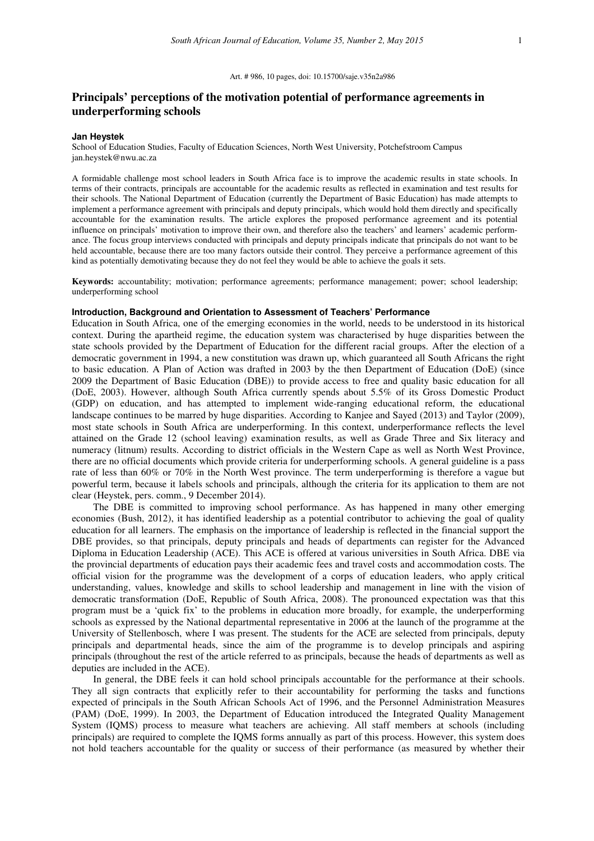## Art. # 986, 10 pages, doi: 10.15700/saje.v35n2a986

# **Principals' perceptions of the motivation potential of performance agreements in underperforming schools**

## **Jan Heystek**

School of Education Studies, Faculty of Education Sciences, North West University, Potchefstroom Campus jan.heystek@nwu.ac.za

A formidable challenge most school leaders in South Africa face is to improve the academic results in state schools. In terms of their contracts, principals are accountable for the academic results as reflected in examination and test results for their schools. The National Department of Education (currently the Department of Basic Education) has made attempts to implement a performance agreement with principals and deputy principals, which would hold them directly and specifically accountable for the examination results. The article explores the proposed performance agreement and its potential influence on principals' motivation to improve their own, and therefore also the teachers' and learners' academic performance. The focus group interviews conducted with principals and deputy principals indicate that principals do not want to be held accountable, because there are too many factors outside their control. They perceive a performance agreement of this kind as potentially demotivating because they do not feel they would be able to achieve the goals it sets.

**Keywords:** accountability; motivation; performance agreements; performance management; power; school leadership; underperforming school

# **Introduction, Background and Orientation to Assessment of Teachers' Performance**

Education in South Africa, one of the emerging economies in the world, needs to be understood in its historical context. During the apartheid regime, the education system was characterised by huge disparities between the state schools provided by the Department of Education for the different racial groups. After the election of a democratic government in 1994, a new constitution was drawn up, which guaranteed all South Africans the right to basic education. A Plan of Action was drafted in 2003 by the then Department of Education (DoE) (since 2009 the Department of Basic Education (DBE)) to provide access to free and quality basic education for all (DoE, 2003). However, although South Africa currently spends about 5.5% of its Gross Domestic Product (GDP) on education, and has attempted to implement wide-ranging educational reform, the educational landscape continues to be marred by huge disparities. According to Kanjee and Sayed (2013) and Taylor (2009), most state schools in South Africa are underperforming. In this context, underperformance reflects the level attained on the Grade 12 (school leaving) examination results, as well as Grade Three and Six literacy and numeracy (litnum) results. According to district officials in the Western Cape as well as North West Province, there are no official documents which provide criteria for underperforming schools. A general guideline is a pass rate of less than 60% or 70% in the North West province. The term underperforming is therefore a vague but powerful term, because it labels schools and principals, although the criteria for its application to them are not clear (Heystek, pers. comm., 9 December 2014).

The DBE is committed to improving school performance. As has happened in many other emerging economies (Bush, 2012), it has identified leadership as a potential contributor to achieving the goal of quality education for all learners. The emphasis on the importance of leadership is reflected in the financial support the DBE provides, so that principals, deputy principals and heads of departments can register for the Advanced Diploma in Education Leadership (ACE). This ACE is offered at various universities in South Africa. DBE via the provincial departments of education pays their academic fees and travel costs and accommodation costs. The official vision for the programme was the development of a corps of education leaders, who apply critical understanding, values, knowledge and skills to school leadership and management in line with the vision of democratic transformation (DoE, Republic of South Africa, 2008). The pronounced expectation was that this program must be a 'quick fix' to the problems in education more broadly, for example, the underperforming schools as expressed by the National departmental representative in 2006 at the launch of the programme at the University of Stellenbosch, where I was present. The students for the ACE are selected from principals, deputy principals and departmental heads, since the aim of the programme is to develop principals and aspiring principals (throughout the rest of the article referred to as principals, because the heads of departments as well as deputies are included in the ACE).

In general, the DBE feels it can hold school principals accountable for the performance at their schools. They all sign contracts that explicitly refer to their accountability for performing the tasks and functions expected of principals in the South African Schools Act of 1996, and the Personnel Administration Measures (PAM) (DoE, 1999). In 2003, the Department of Education introduced the Integrated Quality Management System (IQMS) process to measure what teachers are achieving. All staff members at schools (including principals) are required to complete the IQMS forms annually as part of this process. However, this system does not hold teachers accountable for the quality or success of their performance (as measured by whether their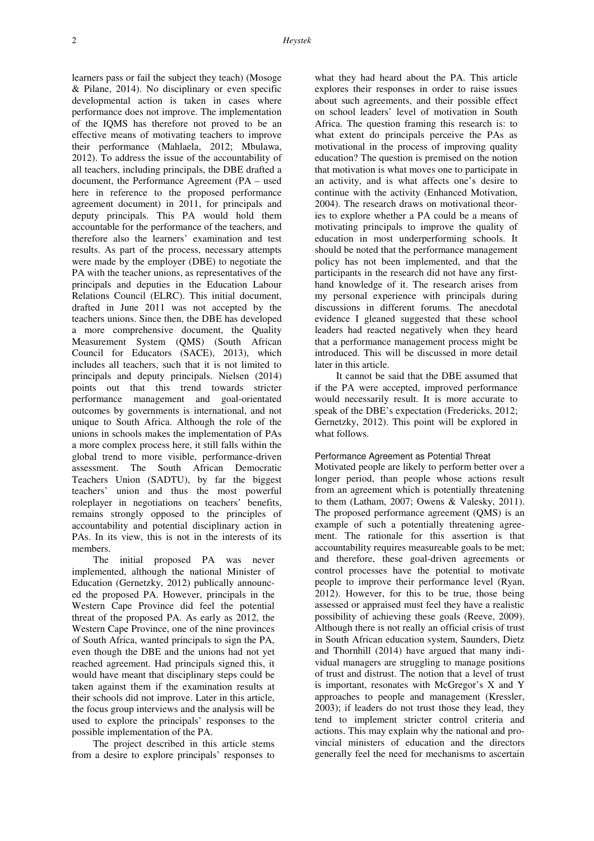learners pass or fail the subject they teach) (Mosoge & Pilane, 2014). No disciplinary or even specific developmental action is taken in cases where performance does not improve. The implementation of the IQMS has therefore not proved to be an effective means of motivating teachers to improve their performance (Mahlaela, 2012; Mbulawa, 2012). To address the issue of the accountability of all teachers, including principals, the DBE drafted a document, the Performance Agreement (PA – used here in reference to the proposed performance agreement document) in 2011, for principals and deputy principals. This PA would hold them accountable for the performance of the teachers, and therefore also the learners' examination and test results. As part of the process, necessary attempts were made by the employer (DBE) to negotiate the PA with the teacher unions, as representatives of the principals and deputies in the Education Labour Relations Council (ELRC). This initial document, drafted in June 2011 was not accepted by the teachers unions. Since then, the DBE has developed a more comprehensive document, the Quality Measurement System (QMS) (South African Council for Educators (SACE), 2013), which includes all teachers, such that it is not limited to principals and deputy principals. Nielsen (2014) points out that this trend towards stricter performance management and goal-orientated outcomes by governments is international, and not unique to South Africa. Although the role of the unions in schools makes the implementation of PAs a more complex process here, it still falls within the global trend to more visible, performance-driven assessment. The South African Democratic Teachers Union (SADTU), by far the biggest teachers' union and thus the most powerful roleplayer in negotiations on teachers' benefits, remains strongly opposed to the principles of accountability and potential disciplinary action in PAs. In its view, this is not in the interests of its members.

The initial proposed PA was never implemented, although the national Minister of Education (Gernetzky, 2012) publically announced the proposed PA. However, principals in the Western Cape Province did feel the potential threat of the proposed PA. As early as 2012, the Western Cape Province, one of the nine provinces of South Africa, wanted principals to sign the PA, even though the DBE and the unions had not yet reached agreement. Had principals signed this, it would have meant that disciplinary steps could be taken against them if the examination results at their schools did not improve. Later in this article, the focus group interviews and the analysis will be used to explore the principals' responses to the possible implementation of the PA.

The project described in this article stems from a desire to explore principals' responses to

what they had heard about the PA. This article explores their responses in order to raise issues about such agreements, and their possible effect on school leaders' level of motivation in South Africa. The question framing this research is: to what extent do principals perceive the PAs as motivational in the process of improving quality education? The question is premised on the notion that motivation is what moves one to participate in an activity, and is what affects one's desire to continue with the activity (Enhanced Motivation, 2004). The research draws on motivational theories to explore whether a PA could be a means of motivating principals to improve the quality of education in most underperforming schools. It should be noted that the performance management policy has not been implemented, and that the participants in the research did not have any firsthand knowledge of it. The research arises from my personal experience with principals during discussions in different forums. The anecdotal evidence I gleaned suggested that these school leaders had reacted negatively when they heard that a performance management process might be introduced. This will be discussed in more detail later in this article.

It cannot be said that the DBE assumed that if the PA were accepted, improved performance would necessarily result. It is more accurate to speak of the DBE's expectation (Fredericks, 2012; Gernetzky, 2012). This point will be explored in what follows.

## Performance Agreement as Potential Threat

Motivated people are likely to perform better over a longer period, than people whose actions result from an agreement which is potentially threatening to them (Latham, 2007; Owens & Valesky, 2011). The proposed performance agreement (QMS) is an example of such a potentially threatening agreement. The rationale for this assertion is that accountability requires measureable goals to be met; and therefore, these goal-driven agreements or control processes have the potential to motivate people to improve their performance level (Ryan, 2012). However, for this to be true, those being assessed or appraised must feel they have a realistic possibility of achieving these goals (Reeve, 2009). Although there is not really an official crisis of trust in South African education system, Saunders, Dietz and Thornhill (2014) have argued that many individual managers are struggling to manage positions of trust and distrust. The notion that a level of trust is important, resonates with McGregor's X and Y approaches to people and management (Kressler, 2003); if leaders do not trust those they lead, they tend to implement stricter control criteria and actions. This may explain why the national and provincial ministers of education and the directors generally feel the need for mechanisms to ascertain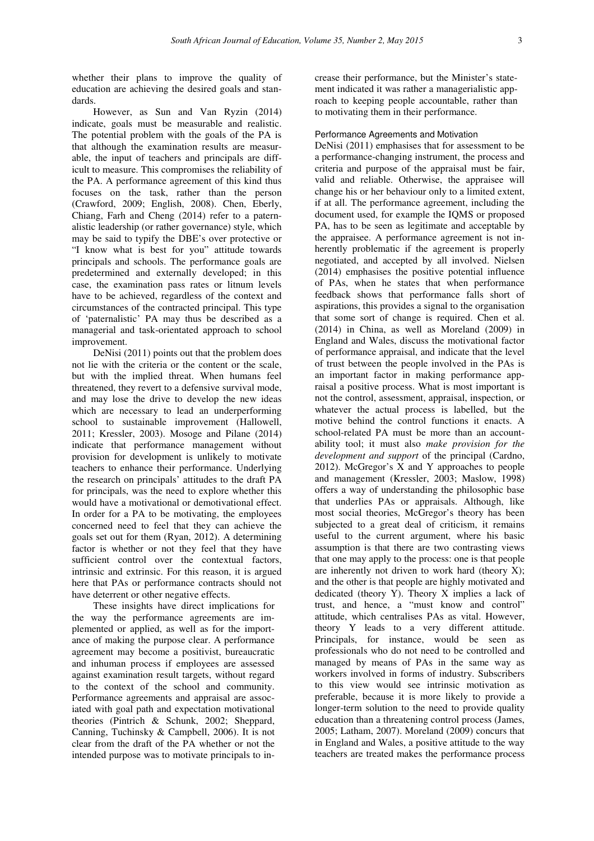whether their plans to improve the quality of education are achieving the desired goals and standards.

However, as Sun and Van Ryzin (2014) indicate, goals must be measurable and realistic. The potential problem with the goals of the PA is that although the examination results are measurable, the input of teachers and principals are difficult to measure. This compromises the reliability of the PA. A performance agreement of this kind thus focuses on the task, rather than the person (Crawford, 2009; English, 2008). Chen, Eberly, Chiang, Farh and Cheng (2014) refer to a paternalistic leadership (or rather governance) style, which may be said to typify the DBE's over protective or "I know what is best for you" attitude towards principals and schools. The performance goals are predetermined and externally developed; in this case, the examination pass rates or litnum levels have to be achieved, regardless of the context and circumstances of the contracted principal. This type of 'paternalistic' PA may thus be described as a managerial and task-orientated approach to school improvement.

DeNisi (2011) points out that the problem does not lie with the criteria or the content or the scale, but with the implied threat. When humans feel threatened, they revert to a defensive survival mode, and may lose the drive to develop the new ideas which are necessary to lead an underperforming school to sustainable improvement (Hallowell, 2011; Kressler, 2003). Mosoge and Pilane (2014) indicate that performance management without provision for development is unlikely to motivate teachers to enhance their performance. Underlying the research on principals' attitudes to the draft PA for principals, was the need to explore whether this would have a motivational or demotivational effect. In order for a PA to be motivating, the employees concerned need to feel that they can achieve the goals set out for them (Ryan, 2012). A determining factor is whether or not they feel that they have sufficient control over the contextual factors, intrinsic and extrinsic. For this reason, it is argued here that PAs or performance contracts should not have deterrent or other negative effects.

These insights have direct implications for the way the performance agreements are implemented or applied, as well as for the importance of making the purpose clear. A performance agreement may become a positivist, bureaucratic and inhuman process if employees are assessed against examination result targets, without regard to the context of the school and community. Performance agreements and appraisal are associated with goal path and expectation motivational theories (Pintrich & Schunk, 2002; Sheppard, Canning, Tuchinsky & Campbell, 2006). It is not clear from the draft of the PA whether or not the intended purpose was to motivate principals to increase their performance, but the Minister's statement indicated it was rather a managerialistic approach to keeping people accountable, rather than to motivating them in their performance.

#### Performance Agreements and Motivation

DeNisi (2011) emphasises that for assessment to be a performance-changing instrument, the process and criteria and purpose of the appraisal must be fair, valid and reliable. Otherwise, the appraisee will change his or her behaviour only to a limited extent, if at all. The performance agreement, including the document used, for example the IQMS or proposed PA, has to be seen as legitimate and acceptable by the appraisee. A performance agreement is not inherently problematic if the agreement is properly negotiated, and accepted by all involved. Nielsen (2014) emphasises the positive potential influence of PAs, when he states that when performance feedback shows that performance falls short of aspirations, this provides a signal to the organisation that some sort of change is required. Chen et al. (2014) in China, as well as Moreland (2009) in England and Wales, discuss the motivational factor of performance appraisal, and indicate that the level of trust between the people involved in the PAs is an important factor in making performance appraisal a positive process. What is most important is not the control, assessment, appraisal, inspection, or whatever the actual process is labelled, but the motive behind the control functions it enacts. A school-related PA must be more than an accountability tool; it must also *make provision for the development and support* of the principal (Cardno, 2012). McGregor's X and Y approaches to people and management (Kressler, 2003; Maslow, 1998) offers a way of understanding the philosophic base that underlies PAs or appraisals. Although, like most social theories, McGregor's theory has been subjected to a great deal of criticism, it remains useful to the current argument, where his basic assumption is that there are two contrasting views that one may apply to the process: one is that people are inherently not driven to work hard (theory X); and the other is that people are highly motivated and dedicated (theory Y). Theory X implies a lack of trust, and hence, a "must know and control" attitude, which centralises PAs as vital. However, theory Y leads to a very different attitude. Principals, for instance, would be seen as professionals who do not need to be controlled and managed by means of PAs in the same way as workers involved in forms of industry. Subscribers to this view would see intrinsic motivation as preferable, because it is more likely to provide a longer-term solution to the need to provide quality education than a threatening control process (James, 2005; Latham, 2007). Moreland (2009) concurs that in England and Wales, a positive attitude to the way teachers are treated makes the performance process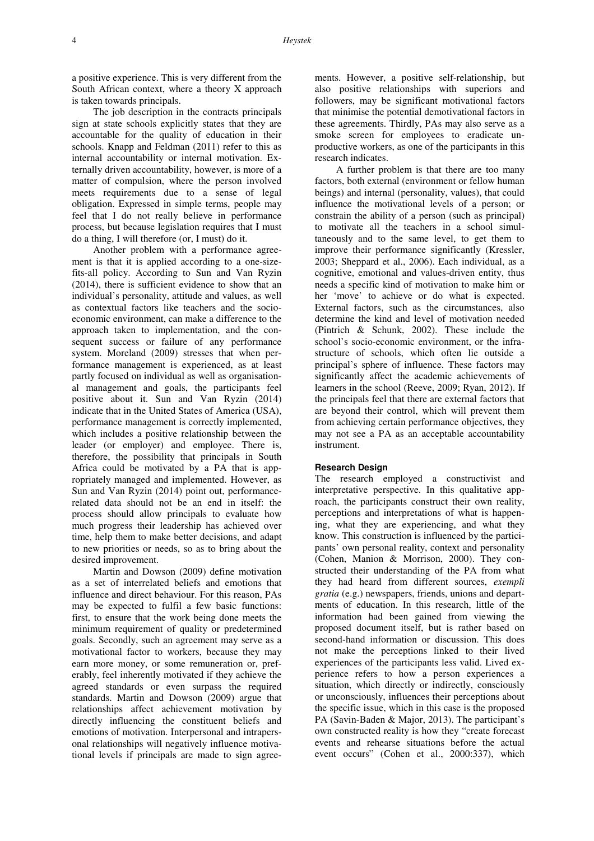a positive experience. This is very different from the South African context, where a theory X approach is taken towards principals.

The job description in the contracts principals sign at state schools explicitly states that they are accountable for the quality of education in their schools. Knapp and Feldman (2011) refer to this as internal accountability or internal motivation. Externally driven accountability, however, is more of a matter of compulsion, where the person involved meets requirements due to a sense of legal obligation. Expressed in simple terms, people may feel that I do not really believe in performance process, but because legislation requires that I must do a thing, I will therefore (or, I must) do it.

Another problem with a performance agreement is that it is applied according to a one-sizefits-all policy. According to Sun and Van Ryzin (2014), there is sufficient evidence to show that an individual's personality, attitude and values, as well as contextual factors like teachers and the socioeconomic environment, can make a difference to the approach taken to implementation, and the consequent success or failure of any performance system. Moreland (2009) stresses that when performance management is experienced, as at least partly focused on individual as well as organisational management and goals, the participants feel positive about it. Sun and Van Ryzin (2014) indicate that in the United States of America (USA), performance management is correctly implemented, which includes a positive relationship between the leader (or employer) and employee. There is, therefore, the possibility that principals in South Africa could be motivated by a PA that is appropriately managed and implemented. However, as Sun and Van Ryzin (2014) point out, performancerelated data should not be an end in itself: the process should allow principals to evaluate how much progress their leadership has achieved over time, help them to make better decisions, and adapt to new priorities or needs, so as to bring about the desired improvement.

Martin and Dowson (2009) define motivation as a set of interrelated beliefs and emotions that influence and direct behaviour. For this reason, PAs may be expected to fulfil a few basic functions: first, to ensure that the work being done meets the minimum requirement of quality or predetermined goals. Secondly, such an agreement may serve as a motivational factor to workers, because they may earn more money, or some remuneration or, preferably, feel inherently motivated if they achieve the agreed standards or even surpass the required standards. Martin and Dowson (2009) argue that relationships affect achievement motivation by directly influencing the constituent beliefs and emotions of motivation. Interpersonal and intrapersonal relationships will negatively influence motivational levels if principals are made to sign agreements. However, a positive self-relationship, but also positive relationships with superiors and followers, may be significant motivational factors that minimise the potential demotivational factors in these agreements. Thirdly, PAs may also serve as a smoke screen for employees to eradicate unproductive workers, as one of the participants in this research indicates.

A further problem is that there are too many factors, both external (environment or fellow human beings) and internal (personality, values), that could influence the motivational levels of a person; or constrain the ability of a person (such as principal) to motivate all the teachers in a school simultaneously and to the same level, to get them to improve their performance significantly (Kressler, 2003; Sheppard et al., 2006). Each individual, as a cognitive, emotional and values-driven entity, thus needs a specific kind of motivation to make him or her 'move' to achieve or do what is expected. External factors, such as the circumstances, also determine the kind and level of motivation needed (Pintrich & Schunk, 2002). These include the school's socio-economic environment, or the infrastructure of schools, which often lie outside a principal's sphere of influence. These factors may significantly affect the academic achievements of learners in the school (Reeve, 2009; Ryan, 2012). If the principals feel that there are external factors that are beyond their control, which will prevent them from achieving certain performance objectives, they may not see a PA as an acceptable accountability instrument.

# **Research Design**

The research employed a constructivist and interpretative perspective. In this qualitative approach, the participants construct their own reality, perceptions and interpretations of what is happening, what they are experiencing, and what they know. This construction is influenced by the participants' own personal reality, context and personality (Cohen, Manion & Morrison, 2000). They constructed their understanding of the PA from what they had heard from different sources, *exempli gratia* (e.g.) newspapers, friends, unions and departments of education. In this research, little of the information had been gained from viewing the proposed document itself, but is rather based on second-hand information or discussion. This does not make the perceptions linked to their lived experiences of the participants less valid. Lived experience refers to how a person experiences a situation, which directly or indirectly, consciously or unconsciously, influences their perceptions about the specific issue, which in this case is the proposed PA (Savin-Baden & Major, 2013). The participant's own constructed reality is how they "create forecast events and rehearse situations before the actual event occurs" (Cohen et al., 2000:337), which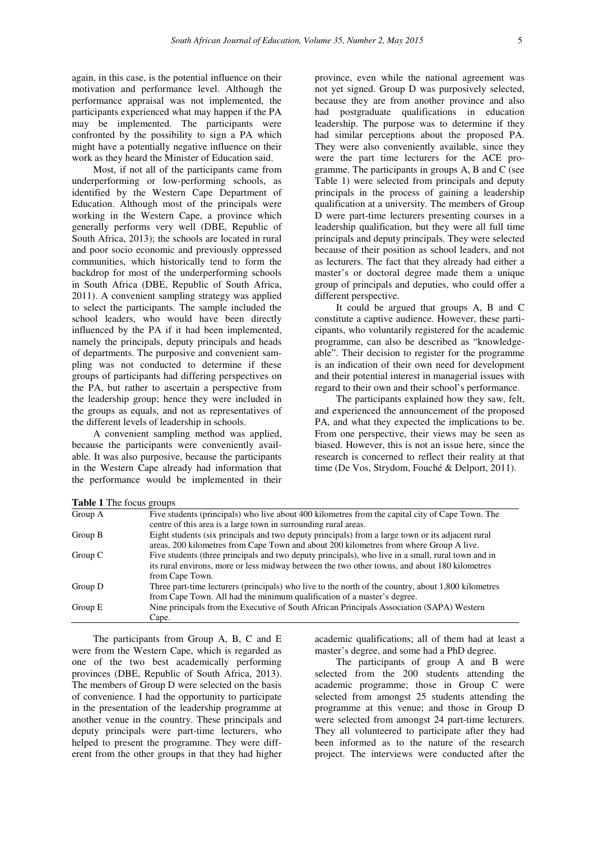again, in this case, is the potential influence on their motivation and performance level. Although the performance appraisal was not implemented, the participants experienced what may happen if the PA may be implemented. The participants were confronted by the possibility to sign a PA which might have a potentially negative influence on their work as they heard the Minister of Education said.

Most, if not all of the participants came from underperforming or low-performing schools, as identified by the Western Cape Department of Education. Although most of the principals were working in the Western Cape, a province which generally performs very well (DBE, Republic of South Africa, 2013); the schools are located in rural and poor socio economic and previously oppressed communities, which historically tend to form the backdrop for most of the underperforming schools in South Africa (DBE, Republic of South Africa, 2011). A convenient sampling strategy was applied to select the participants. The sample included the school leaders, who would have been directly influenced by the PA if it had been implemented, namely the principals, deputy principals and heads of departments. The purposive and convenient sampling was not conducted to determine if these groups of participants had differing perspectives on the PA, but rather to ascertain a perspective from the leadership group; hence they were included in the groups as equals, and not as representatives of the different levels of leadership in schools.

A convenient sampling method was applied, because the participants were conveniently available. It was also purposive, because the participants in the Western Cape already had information that the performance would be implemented in their

province, even while the national agreement was not yet signed. Group D was purposively selected, because they are from another province and also had postgraduate qualifications in education leadership. The purpose was to determine if they had similar perceptions about the proposed PA. They were also conveniently available, since they were the part time lecturers for the ACE programme. The participants in groups A, B and C (see Table 1) were selected from principals and deputy principals in the process of gaining a leadership qualification at a university. The members of Group D were part-time lecturers presenting courses in a leadership qualification, but they were all full time principals and deputy principals. They were selected because of their position as school leaders, and not as lecturers. The fact that they already had either a master's or doctoral degree made them a unique group of principals and deputies, who could offer a different perspective.

It could be argued that groups A, B and C constitute a captive audience. However, these participants, who voluntarily registered for the academic programme, can also be described as "knowledgeable". Their decision to register for the programme is an indication of their own need for development and their potential interest in managerial issues with regard to their own and their school's performance.

The participants explained how they saw, felt, and experienced the announcement of the proposed PA, and what they expected the implications to be. From one perspective, their views may be seen as biased. However, this is not an issue here, since the research is concerned to reflect their reality at that time (De Vos, Strydom, Fouché & Delport, 2011).

**Table 1** The focus groups

| Group A   | Five students (principals) who live about 400 kilometres from the capital city of Cape Town. The    |
|-----------|-----------------------------------------------------------------------------------------------------|
|           | centre of this area is a large town in surrounding rural areas.                                     |
| Group B   | Eight students (six principals and two deputy principals) from a large town or its adjacent rural   |
|           | areas, 200 kilometres from Cape Town and about 200 kilometres from where Group A live.              |
| Group $C$ | Five students (three principals and two deputy principals), who live in a small, rural town and in  |
|           | its rural environs, more or less midway between the two other towns, and about 180 kilometres       |
|           | from Cape Town.                                                                                     |
| Group D   | Three part-time lecturers (principals) who live to the north of the country, about 1,800 kilometres |
|           | from Cape Town. All had the minimum qualification of a master's degree.                             |
| Group E   | Nine principals from the Executive of South African Principals Association (SAPA) Western           |
|           | Cape.                                                                                               |

The participants from Group A, B, C and E were from the Western Cape, which is regarded as one of the two best academically performing provinces (DBE, Republic of South Africa, 2013). The members of Group D were selected on the basis of convenience. I had the opportunity to participate in the presentation of the leadership programme at another venue in the country. These principals and deputy principals were part-time lecturers, who helped to present the programme. They were different from the other groups in that they had higher academic qualifications; all of them had at least a master's degree, and some had a PhD degree.

The participants of group A and B were selected from the 200 students attending the academic programme; those in Group C were selected from amongst 25 students attending the programme at this venue; and those in Group D were selected from amongst 24 part-time lecturers. They all volunteered to participate after they had been informed as to the nature of the research project. The interviews were conducted after the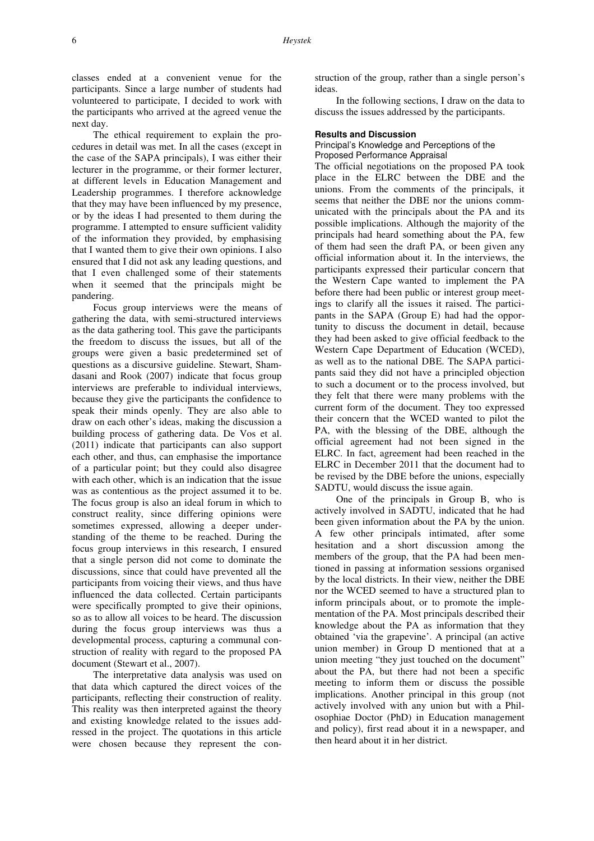classes ended at a convenient venue for the participants. Since a large number of students had volunteered to participate, I decided to work with the participants who arrived at the agreed venue the next day.

The ethical requirement to explain the procedures in detail was met. In all the cases (except in the case of the SAPA principals), I was either their lecturer in the programme, or their former lecturer, at different levels in Education Management and Leadership programmes. I therefore acknowledge that they may have been influenced by my presence, or by the ideas I had presented to them during the programme. I attempted to ensure sufficient validity of the information they provided, by emphasising that I wanted them to give their own opinions. I also ensured that I did not ask any leading questions, and that I even challenged some of their statements when it seemed that the principals might be pandering.

Focus group interviews were the means of gathering the data, with semi-structured interviews as the data gathering tool. This gave the participants the freedom to discuss the issues, but all of the groups were given a basic predetermined set of questions as a discursive guideline. Stewart, Shamdasani and Rook (2007) indicate that focus group interviews are preferable to individual interviews, because they give the participants the confidence to speak their minds openly. They are also able to draw on each other's ideas, making the discussion a building process of gathering data. De Vos et al. (2011) indicate that participants can also support each other, and thus, can emphasise the importance of a particular point; but they could also disagree with each other, which is an indication that the issue was as contentious as the project assumed it to be. The focus group is also an ideal forum in which to construct reality, since differing opinions were sometimes expressed, allowing a deeper understanding of the theme to be reached. During the focus group interviews in this research, I ensured that a single person did not come to dominate the discussions, since that could have prevented all the participants from voicing their views, and thus have influenced the data collected. Certain participants were specifically prompted to give their opinions, so as to allow all voices to be heard. The discussion during the focus group interviews was thus a developmental process, capturing a communal construction of reality with regard to the proposed PA document (Stewart et al., 2007).

The interpretative data analysis was used on that data which captured the direct voices of the participants, reflecting their construction of reality. This reality was then interpreted against the theory and existing knowledge related to the issues addressed in the project. The quotations in this article were chosen because they represent the con-

struction of the group, rather than a single person's ideas.

In the following sections, I draw on the data to discuss the issues addressed by the participants.

### **Results and Discussion**

## Principal's Knowledge and Perceptions of the Proposed Performance Appraisal

The official negotiations on the proposed PA took place in the ELRC between the DBE and the unions. From the comments of the principals, it seems that neither the DBE nor the unions communicated with the principals about the PA and its possible implications. Although the majority of the principals had heard something about the PA, few of them had seen the draft PA, or been given any official information about it. In the interviews, the participants expressed their particular concern that the Western Cape wanted to implement the PA before there had been public or interest group meetings to clarify all the issues it raised. The participants in the SAPA (Group E) had had the opportunity to discuss the document in detail, because they had been asked to give official feedback to the Western Cape Department of Education (WCED), as well as to the national DBE. The SAPA participants said they did not have a principled objection to such a document or to the process involved, but they felt that there were many problems with the current form of the document. They too expressed their concern that the WCED wanted to pilot the PA, with the blessing of the DBE, although the official agreement had not been signed in the ELRC. In fact, agreement had been reached in the ELRC in December 2011 that the document had to be revised by the DBE before the unions, especially SADTU, would discuss the issue again.

One of the principals in Group B, who is actively involved in SADTU, indicated that he had been given information about the PA by the union. A few other principals intimated, after some hesitation and a short discussion among the members of the group, that the PA had been mentioned in passing at information sessions organised by the local districts. In their view, neither the DBE nor the WCED seemed to have a structured plan to inform principals about, or to promote the implementation of the PA. Most principals described their knowledge about the PA as information that they obtained 'via the grapevine'. A principal (an active union member) in Group D mentioned that at a union meeting "they just touched on the document" about the PA, but there had not been a specific meeting to inform them or discuss the possible implications. Another principal in this group (not actively involved with any union but with a Philosophiae Doctor (PhD) in Education management and policy), first read about it in a newspaper, and then heard about it in her district.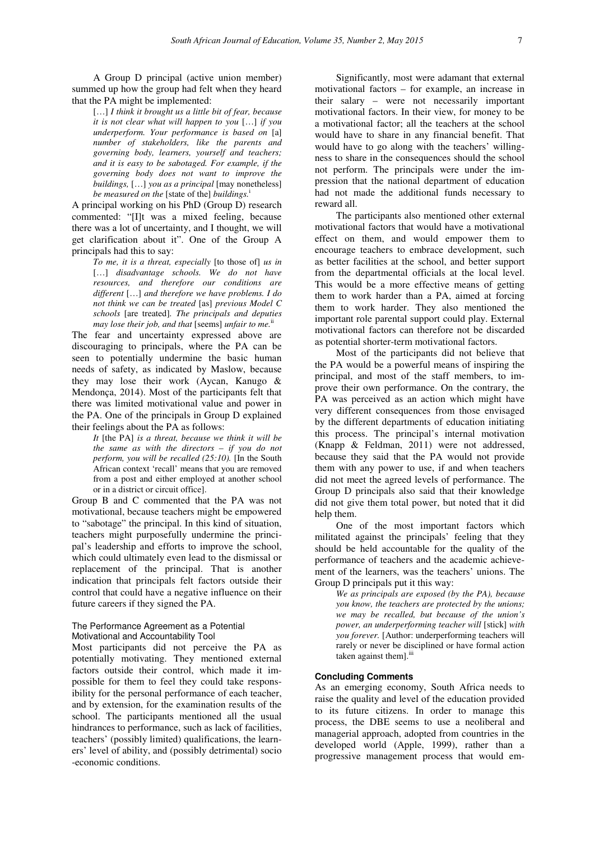A Group D principal (active union member) summed up how the group had felt when they heard that the PA might be implemented:

> […] *I think it brought us a little bit of fear, because it is not clear what will happen to you* […] *if you underperform. Your performance is based on* [a] *number of stakeholders, like the parents and governing body, learners, yourself and teachers; and it is easy to be sabotaged. For example, if the governing body does not want to improve the buildings,* […] *you as a principal* [may nonetheless] *be measured on the* [state of the] *buildings.*<sup>i</sup>

A principal working on his PhD (Group D) research commented: "[I]t was a mixed feeling, because there was a lot of uncertainty, and I thought, we will get clarification about it". One of the Group A principals had this to say:

*To me, it is a threat, especially* [to those of] *us in*  […] *disadvantage schools. We do not have resources, and therefore our conditions are different* […] *and therefore we have problems. I do not think we can be treated* [as] *previous Model C schools* [are treated]*. The principals and deputies may lose their job, and that* [seems] *unfair to me.*<sup>1</sup>

The fear and uncertainty expressed above are discouraging to principals, where the PA can be seen to potentially undermine the basic human needs of safety, as indicated by Maslow, because they may lose their work (Aycan, Kanugo & Mendonça, 2014). Most of the participants felt that there was limited motivational value and power in the PA. One of the principals in Group D explained their feelings about the PA as follows:

> *It* [the PA] *is a threat, because we think it will be the same as with the directors – if you do not perform, you will be recalled (25:10).* [In the South African context 'recall' means that you are removed from a post and either employed at another school or in a district or circuit office].

Group B and C commented that the PA was not motivational, because teachers might be empowered to "sabotage" the principal. In this kind of situation, teachers might purposefully undermine the principal's leadership and efforts to improve the school, which could ultimately even lead to the dismissal or replacement of the principal. That is another indication that principals felt factors outside their control that could have a negative influence on their future careers if they signed the PA.

## The Performance Agreement as a Potential Motivational and Accountability Tool

Most participants did not perceive the PA as potentially motivating. They mentioned external factors outside their control, which made it impossible for them to feel they could take responsibility for the personal performance of each teacher, and by extension, for the examination results of the school. The participants mentioned all the usual hindrances to performance, such as lack of facilities, teachers' (possibly limited) qualifications, the learners' level of ability, and (possibly detrimental) socio -economic conditions.

Significantly, most were adamant that external motivational factors – for example, an increase in their salary – were not necessarily important motivational factors. In their view, for money to be a motivational factor; all the teachers at the school would have to share in any financial benefit. That would have to go along with the teachers' willingness to share in the consequences should the school not perform. The principals were under the impression that the national department of education had not made the additional funds necessary to reward all.

The participants also mentioned other external motivational factors that would have a motivational effect on them, and would empower them to encourage teachers to embrace development, such as better facilities at the school, and better support from the departmental officials at the local level. This would be a more effective means of getting them to work harder than a PA, aimed at forcing them to work harder. They also mentioned the important role parental support could play. External motivational factors can therefore not be discarded as potential shorter-term motivational factors.

Most of the participants did not believe that the PA would be a powerful means of inspiring the principal, and most of the staff members, to improve their own performance. On the contrary, the PA was perceived as an action which might have very different consequences from those envisaged by the different departments of education initiating this process. The principal's internal motivation (Knapp & Feldman, 2011) were not addressed, because they said that the PA would not provide them with any power to use, if and when teachers did not meet the agreed levels of performance. The Group D principals also said that their knowledge did not give them total power, but noted that it did help them.

One of the most important factors which militated against the principals' feeling that they should be held accountable for the quality of the performance of teachers and the academic achievement of the learners, was the teachers' unions. The Group D principals put it this way:

*We as principals are exposed (by the PA), because you know, the teachers are protected by the unions; we may be recalled, but because of the union's power, an underperforming teacher will* [stick] *with you forever.* [Author: underperforming teachers will rarely or never be disciplined or have formal action taken against them $l<sup>iii</sup>$ 

## **Concluding Comments**

As an emerging economy, South Africa needs to raise the quality and level of the education provided to its future citizens. In order to manage this process, the DBE seems to use a neoliberal and managerial approach, adopted from countries in the developed world (Apple, 1999), rather than a progressive management process that would em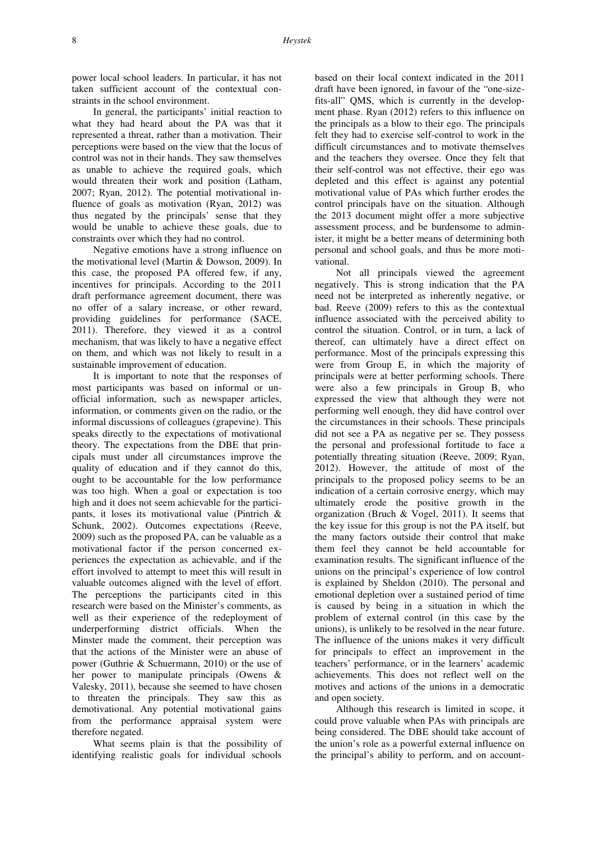power local school leaders. In particular, it has not taken sufficient account of the contextual constraints in the school environment.

In general, the participants' initial reaction to what they had heard about the PA was that it represented a threat, rather than a motivation. Their perceptions were based on the view that the locus of control was not in their hands. They saw themselves as unable to achieve the required goals, which would threaten their work and position (Latham, 2007; Ryan, 2012). The potential motivational influence of goals as motivation (Ryan, 2012) was thus negated by the principals' sense that they would be unable to achieve these goals, due to constraints over which they had no control.

Negative emotions have a strong influence on the motivational level (Martin & Dowson, 2009). In this case, the proposed PA offered few, if any, incentives for principals. According to the 2011 draft performance agreement document, there was no offer of a salary increase, or other reward, providing guidelines for performance (SACE, 2011). Therefore, they viewed it as a control mechanism, that was likely to have a negative effect on them, and which was not likely to result in a sustainable improvement of education.

It is important to note that the responses of most participants was based on informal or unofficial information, such as newspaper articles, information, or comments given on the radio, or the informal discussions of colleagues (grapevine). This speaks directly to the expectations of motivational theory. The expectations from the DBE that principals must under all circumstances improve the quality of education and if they cannot do this, ought to be accountable for the low performance was too high. When a goal or expectation is too high and it does not seem achievable for the participants, it loses its motivational value (Pintrich & Schunk, 2002). Outcomes expectations (Reeve, 2009) such as the proposed PA, can be valuable as a motivational factor if the person concerned experiences the expectation as achievable, and if the effort involved to attempt to meet this will result in valuable outcomes aligned with the level of effort. The perceptions the participants cited in this research were based on the Minister's comments, as well as their experience of the redeployment of underperforming district officials. When the Minster made the comment, their perception was that the actions of the Minister were an abuse of power (Guthrie & Schuermann, 2010) or the use of her power to manipulate principals (Owens & Valesky, 2011), because she seemed to have chosen to threaten the principals. They saw this as demotivational. Any potential motivational gains from the performance appraisal system were therefore negated.

What seems plain is that the possibility of identifying realistic goals for individual schools

based on their local context indicated in the 2011 draft have been ignored, in favour of the "one-sizefits-all" QMS, which is currently in the development phase. Ryan (2012) refers to this influence on the principals as a blow to their ego. The principals felt they had to exercise self-control to work in the difficult circumstances and to motivate themselves and the teachers they oversee. Once they felt that their self-control was not effective, their ego was depleted and this effect is against any potential motivational value of PAs which further erodes the control principals have on the situation. Although the 2013 document might offer a more subjective assessment process, and be burdensome to administer, it might be a better means of determining both personal and school goals, and thus be more motivational.

Not all principals viewed the agreement negatively. This is strong indication that the PA need not be interpreted as inherently negative, or bad. Reeve (2009) refers to this as the contextual influence associated with the perceived ability to control the situation. Control, or in turn, a lack of thereof, can ultimately have a direct effect on performance. Most of the principals expressing this were from Group E, in which the majority of principals were at better performing schools. There were also a few principals in Group B, who expressed the view that although they were not performing well enough, they did have control over the circumstances in their schools. These principals did not see a PA as negative per se. They possess the personal and professional fortitude to face a potentially threating situation (Reeve, 2009; Ryan, 2012). However, the attitude of most of the principals to the proposed policy seems to be an indication of a certain corrosive energy, which may ultimately erode the positive growth in the organization (Bruch & Vogel, 2011). It seems that the key issue for this group is not the PA itself, but the many factors outside their control that make them feel they cannot be held accountable for examination results. The significant influence of the unions on the principal's experience of low control is explained by Sheldon (2010). The personal and emotional depletion over a sustained period of time is caused by being in a situation in which the problem of external control (in this case by the unions), is unlikely to be resolved in the near future. The influence of the unions makes it very difficult for principals to effect an improvement in the teachers' performance, or in the learners' academic achievements. This does not reflect well on the motives and actions of the unions in a democratic and open society.

Although this research is limited in scope, it could prove valuable when PAs with principals are being considered. The DBE should take account of the union's role as a powerful external influence on the principal's ability to perform, and on account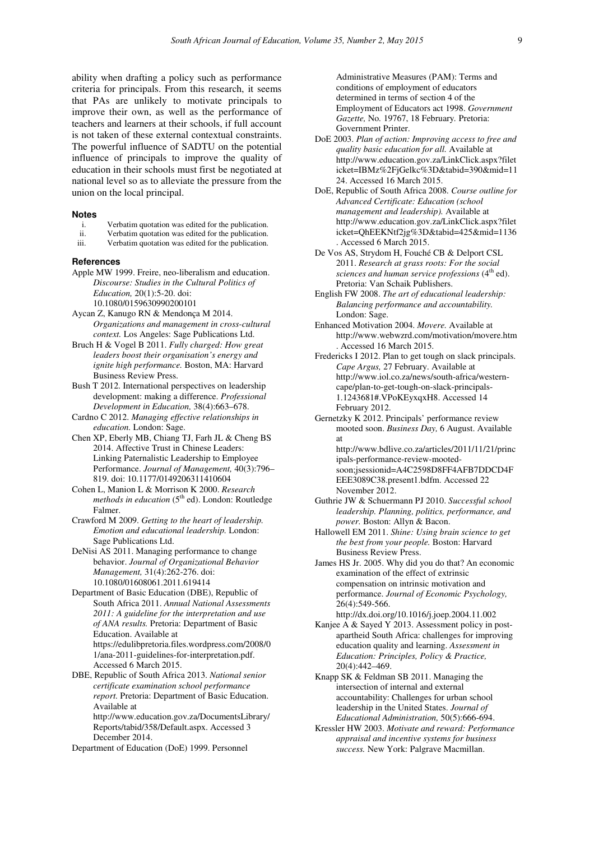ability when drafting a policy such as performance criteria for principals. From this research, it seems that PAs are unlikely to motivate principals to improve their own, as well as the performance of teachers and learners at their schools, if full account is not taken of these external contextual constraints. The powerful influence of SADTU on the potential influence of principals to improve the quality of education in their schools must first be negotiated at national level so as to alleviate the pressure from the union on the local principal.

#### **Notes**

- i. Verbatim quotation was edited for the publication.<br>ii Verbatim quotation was edited for the publication.
- Verbatim quotation was edited for the publication. iii. Verbatim quotation was edited for the publication.
- 

#### **References**

- Apple MW 1999. Freire, neo-liberalism and education. *Discourse: Studies in the Cultural Politics of Education,* 20(1):5-20. doi: 10.1080/0159630990200101
- Aycan Z, Kanugo RN & Mendonça M 2014. *Organizations and management in cross-cultural context.* Los Angeles: Sage Publications Ltd.
- Bruch H & Vogel B 2011. *Fully charged: How great leaders boost their organisation's energy and ignite high performance.* Boston, MA: Harvard Business Review Press.
- Bush T 2012. International perspectives on leadership development: making a difference. *Professional Development in Education,* 38(4):663–678.
- Cardno C 2012. *Managing effective relationships in education.* London: Sage.
- Chen XP, Eberly MB, Chiang TJ, Farh JL & Cheng BS 2014. Affective Trust in Chinese Leaders: Linking Paternalistic Leadership to Employee Performance. *Journal of Management,* 40(3):796– 819. doi: 10.1177/0149206311410604
- Cohen L, Manion L & Morrison K 2000. *Research methods in education* (5<sup>th</sup> ed). London: Routledge Falmer.
- Crawford M 2009. *Getting to the heart of leadership. Emotion and educational leadership.* London: Sage Publications Ltd.
- DeNisi AS 2011. Managing performance to change behavior. *Journal of Organizational Behavior Management,* 31(4):262-276. doi: 10.1080/01608061.2011.619414
- Department of Basic Education (DBE), Republic of South Africa 2011. *Annual National Assessments 2011: A guideline for the interpretation and use of ANA results.* Pretoria: Department of Basic Education. Available at https://edulibpretoria.files.wordpress.com/2008/0 1/ana-2011-guidelines-for-interpretation.pdf. Accessed 6 March 2015.
- DBE, Republic of South Africa 2013. *National senior certificate examination school performance report.* Pretoria: Department of Basic Education. Available at http://www.education.gov.za/DocumentsLibrary/ Reports/tabid/358/Default.aspx. Accessed 3

December 2014.

Department of Education (DoE) 1999. Personnel

Administrative Measures (PAM): Terms and conditions of employment of educators determined in terms of section 4 of the Employment of Educators act 1998. *Government Gazette,* No*.* 19767, 18 February*.* Pretoria: Government Printer.

- DoE 2003. *Plan of action: Improving access to free and quality basic education for all.* Available at http://www.education.gov.za/LinkClick.aspx?filet icket=IBMz%2FjGelkc%3D&tabid=390&mid=11 24. Accessed 16 March 2015.
- DoE, Republic of South Africa 2008. *Course outline for Advanced Certificate: Education (school management and leadership).* Available at http://www.education.gov.za/LinkClick.aspx?filet icket=QhEEKNtf2jg%3D&tabid=425&mid=1136 . Accessed 6 March 2015.
- De Vos AS, Strydom H, Fouché CB & Delport CSL 2011. *Research at grass roots: For the social sciences and human service professions* (4<sup>th</sup> ed). Pretoria: Van Schaik Publishers.
- English FW 2008. *The art of educational leadership: Balancing performance and accountability.* London: Sage.
- Enhanced Motivation 2004. *Movere.* Available at http://www.webwzrd.com/motivation/movere.htm . Accessed 16 March 2015.
- Fredericks I 2012. Plan to get tough on slack principals. *Cape Argus,* 27 February. Available at http://www.iol.co.za/news/south-africa/westerncape/plan-to-get-tough-on-slack-principals-1.1243681#.VPoKEyxqxH8. Accessed 14 February 2012.
- Gernetzky K 2012. Principals' performance review mooted soon. *Business Day,* 6 August. Available at

http://www.bdlive.co.za/articles/2011/11/21/princ ipals-performance-review-mootedsoon;jsessionid=A4C2598D8FF4AFB7DDCD4F EEE3089C38.present1.bdfm. Accessed 22 November 2012.

- Guthrie JW & Schuermann PJ 2010. *Successful school leadership. Planning, politics, performance, and power.* Boston: Allyn & Bacon.
- Hallowell EM 2011. *Shine: Using brain science to get the best from your people.* Boston: Harvard Business Review Press.
- James HS Jr. 2005. Why did you do that? An economic examination of the effect of extrinsic compensation on intrinsic motivation and performance. *Journal of Economic Psychology,* 26(4):549-566.
- http://dx.doi.org/10.1016/j.joep.2004.11.002 Kanjee A & Sayed Y 2013. Assessment policy in postapartheid South Africa: challenges for improving education quality and learning. *Assessment in Education: Principles, Policy & Practice,*  20(4):442–469.
- Knapp SK & Feldman SB 2011. Managing the intersection of internal and external accountability: Challenges for urban school leadership in the United States. *Journal of Educational Administration,* 50(5):666-694.
- Kressler HW 2003. *Motivate and reward: Performance appraisal and incentive systems for business success.* New York: Palgrave Macmillan.